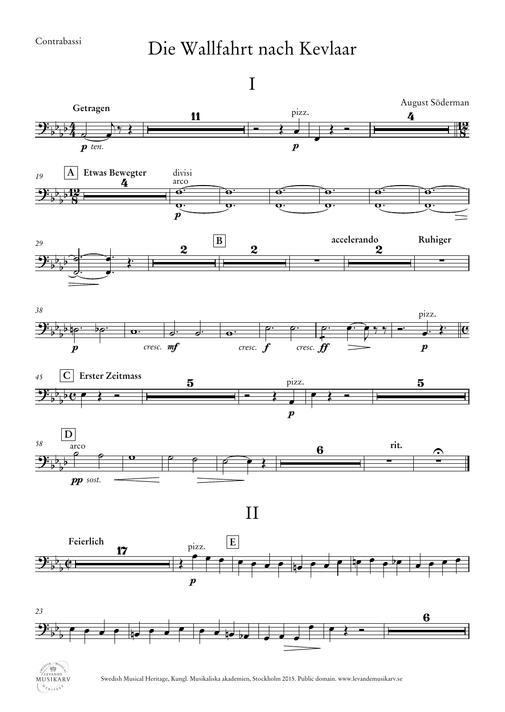$\overline{(\ }$ **AERITAGE** 

## Die Wallfahrt nach Kevlaar

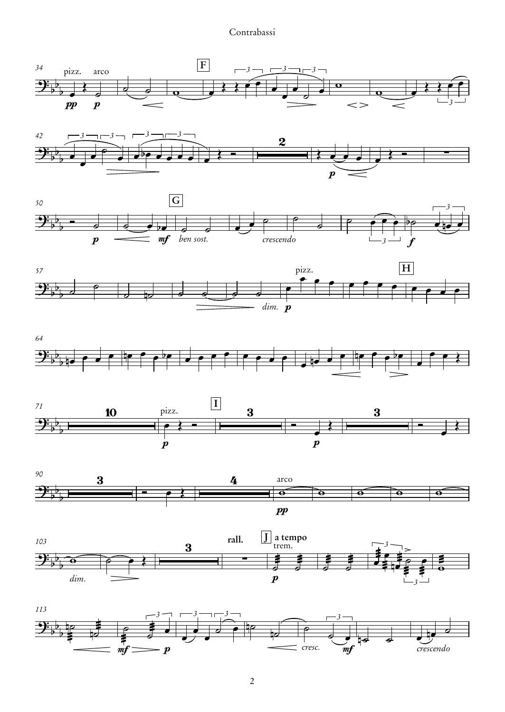## Contrabassi